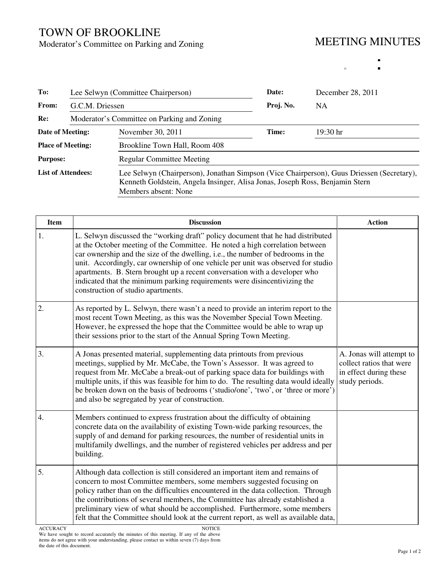## TOWN OF BROOKLINE

Moderator's Committee on Parking and Zoning

## MEETING MINUTES

 $\bar{\alpha}$ 

 $\blacksquare$  $\blacksquare$ 

| To:                       | Lee Selwyn (Committee Chairperson)<br>G.C.M. Driessen |                                                                                                                                                                                                   | Date:     | December 28, 2011<br><b>NA</b> |  |
|---------------------------|-------------------------------------------------------|---------------------------------------------------------------------------------------------------------------------------------------------------------------------------------------------------|-----------|--------------------------------|--|
| From:                     |                                                       |                                                                                                                                                                                                   | Proj. No. |                                |  |
| Re:                       |                                                       | Moderator's Committee on Parking and Zoning                                                                                                                                                       |           |                                |  |
| Date of Meeting:          |                                                       | November 30, 2011                                                                                                                                                                                 | Time:     | $19:30$ hr                     |  |
| <b>Place of Meeting:</b>  |                                                       | Brookline Town Hall, Room 408                                                                                                                                                                     |           |                                |  |
| <b>Purpose:</b>           |                                                       | <b>Regular Committee Meeting</b>                                                                                                                                                                  |           |                                |  |
| <b>List of Attendees:</b> |                                                       | Lee Selwyn (Chairperson), Jonathan Simpson (Vice Chairperson), Guus Driessen (Secretary),<br>Kenneth Goldstein, Angela Insinger, Alisa Jonas, Joseph Ross, Benjamin Stern<br>Members absent: None |           |                                |  |

| <b>Item</b>      | <b>Discussion</b>                                                                                                                                                                                                                                                                                                                                                                                                                                                                                                                       | <b>Action</b>                                                                                    |
|------------------|-----------------------------------------------------------------------------------------------------------------------------------------------------------------------------------------------------------------------------------------------------------------------------------------------------------------------------------------------------------------------------------------------------------------------------------------------------------------------------------------------------------------------------------------|--------------------------------------------------------------------------------------------------|
| 1.               | L. Selwyn discussed the "working draft" policy document that he had distributed<br>at the October meeting of the Committee. He noted a high correlation between<br>car ownership and the size of the dwelling, i.e., the number of bedrooms in the<br>unit. Accordingly, car ownership of one vehicle per unit was observed for studio<br>apartments. B. Stern brought up a recent conversation with a developer who<br>indicated that the minimum parking requirements were disincentivizing the<br>construction of studio apartments. |                                                                                                  |
| 2.               | As reported by L. Selwyn, there wasn't a need to provide an interim report to the<br>most recent Town Meeting, as this was the November Special Town Meeting.<br>However, he expressed the hope that the Committee would be able to wrap up<br>their sessions prior to the start of the Annual Spring Town Meeting.                                                                                                                                                                                                                     |                                                                                                  |
| 3.               | A Jonas presented material, supplementing data printouts from previous<br>meetings, supplied by Mr. McCabe, the Town's Assessor. It was agreed to<br>request from Mr. McCabe a break-out of parking space data for buildings with<br>multiple units, if this was feasible for him to do. The resulting data would ideally<br>be broken down on the basis of bedrooms ('studio/one', 'two', or 'three or more')<br>and also be segregated by year of construction.                                                                       | A. Jonas will attempt to<br>collect ratios that were<br>in effect during these<br>study periods. |
| $\overline{4}$ . | Members continued to express frustration about the difficulty of obtaining<br>concrete data on the availability of existing Town-wide parking resources, the<br>supply of and demand for parking resources, the number of residential units in<br>multifamily dwellings, and the number of registered vehicles per address and per<br>building.                                                                                                                                                                                         |                                                                                                  |
| 5.               | Although data collection is still considered an important item and remains of<br>concern to most Committee members, some members suggested focusing on<br>policy rather than on the difficulties encountered in the data collection. Through<br>the contributions of several members, the Committee has already established a<br>preliminary view of what should be accomplished. Furthermore, some members<br>felt that the Committee should look at the current report, as well as available data,                                    |                                                                                                  |